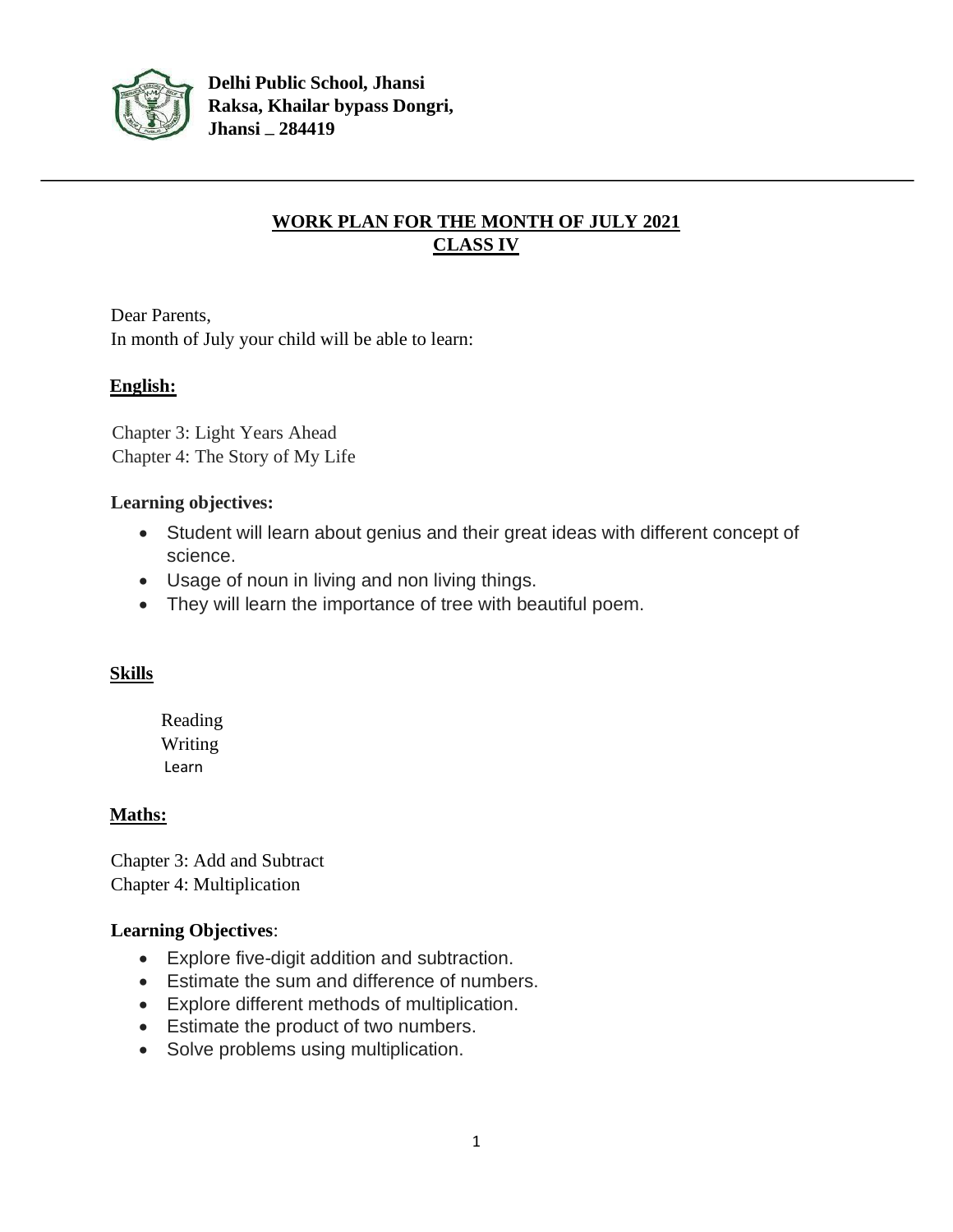

# **WORK PLAN FOR THE MONTH OF JULY 2021 CLASS IV**

Dear Parents, In month of July your child will be able to learn:

# **English:**

Chapter 3: Light Years Ahead Chapter 4: The Story of My Life

#### **Learning objectives:**

- Student will learn about genius and their great ideas with different concept of science.
- Usage of noun in living and non living things.
- They will learn the importance of tree with beautiful poem.

# **Skills**

Reading Writing Learn

# **Maths:**

Chapter 3: Add and Subtract Chapter 4: Multiplication

# **Learning Objectives**:

- Explore five-digit addition and subtraction.
- Estimate the sum and difference of numbers.
- Explore different methods of multiplication.
- Estimate the product of two numbers.
- Solve problems using multiplication.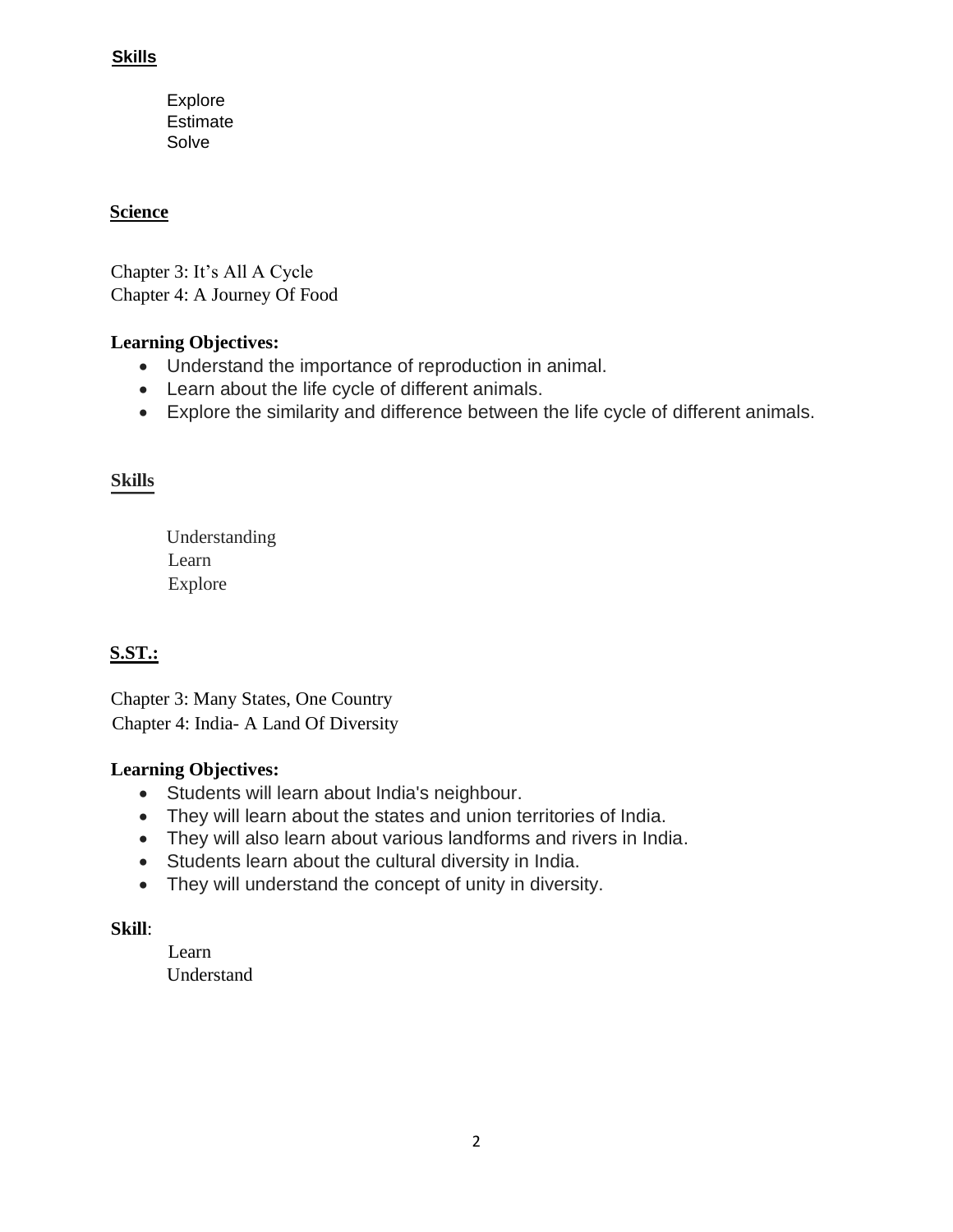#### **Skills**

Explore Estimate **Solve** 

# **Science**

Chapter 3: It's All A Cycle Chapter 4: A Journey Of Food

# **Learning Objectives:**

- Understand the importance of reproduction in animal.
- Learn about the life cycle of different animals.
- Explore the similarity and difference between the life cycle of different animals.

# **Skills**

 Understanding Learn Explore

# **S.ST.:**

Chapter 3: Many States, One Country Chapter 4: India- A Land Of Diversity

#### **Learning Objectives:**

- Students will learn about India's neighbour.
- They will learn about the states and union territories of India.
- They will also learn about various landforms and rivers in India.
- Students learn about the cultural diversity in India.
- They will understand the concept of unity in diversity.

#### **Skill**:

Learn Understand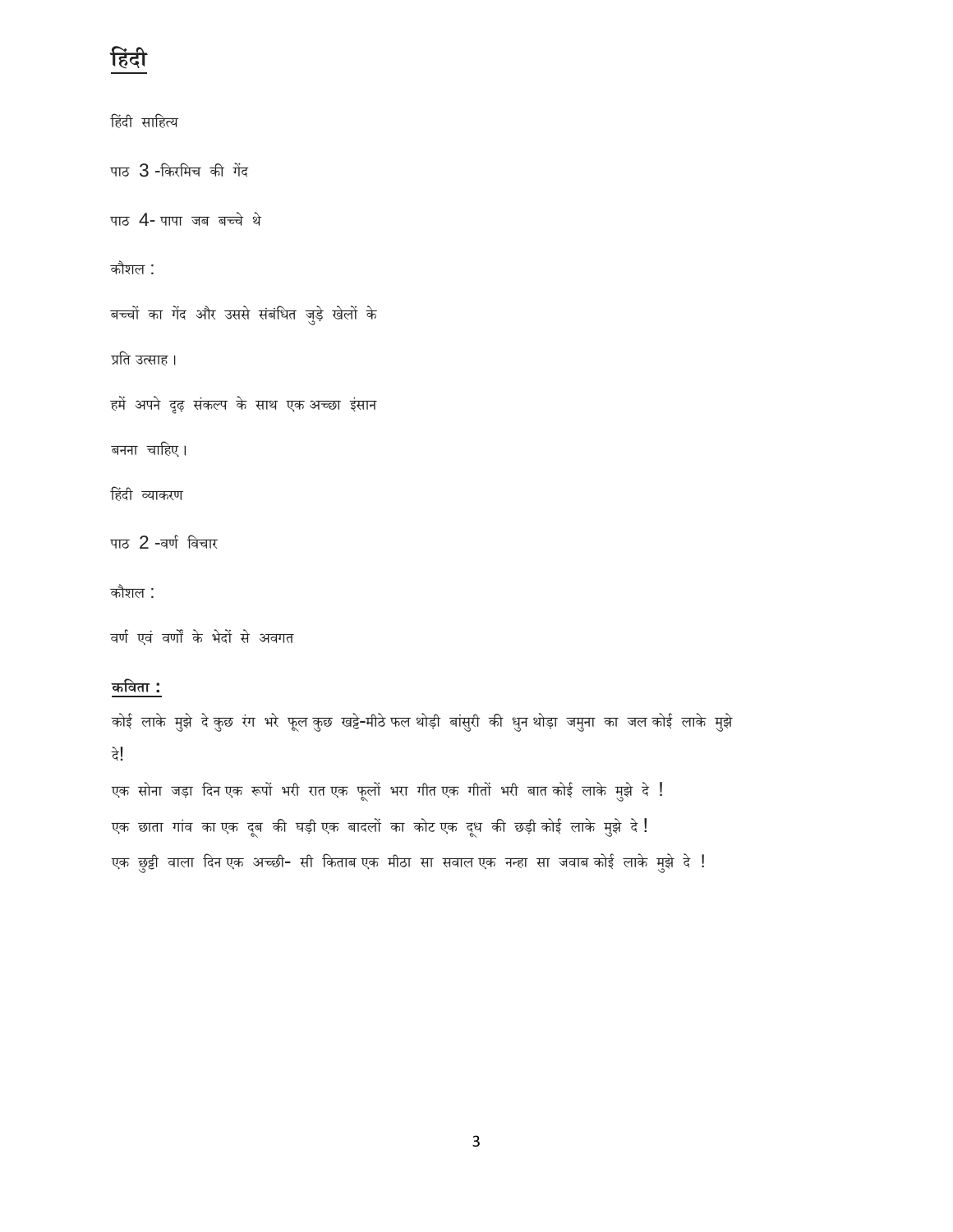# **ह िंदी**

दे!

हिंदी साहित्य पाठ 3 -किरमिच की गेंद पाठ 4- पापा जब बच्चे थे िौशल : बच्चों का गेंद और उससे संबंधित जुड़े खेलों के प्रति उत्साह। हमें अपने दृढ़ संकल्प के साथ एक अच्छा इंसान बनना चाहिए। हिंदी व्याकरण पाठ 2 -वर्ण विचार िौशल : वर्ण एवं वर्णों के भेदों से अवगत **कहिता :** कोई लाके मुझे दे कुछ रंग भरे फूल कुछ खट्टे-मीठे फल थोड़ी बांसुरी की धुन थोड़ा जमुना का जल कोई लाके मुझे

एक सोना जड़ा दिन एक रूपों भरी रात एक फूलों भरा गीत एक गीतों भरी बात कोई लाके मुझे दे ! एक छाता गांव का एक दूब की घड़ी एक बादलों का कोट एक दूध की छड़ी कोई लाके मुझे दे! एक छुट्टी वाला दिन एक अच्छी- सी किताब एक मीठा सा सवाल एक नन्हा सा जवाब कोई लाके मुझे दे !

3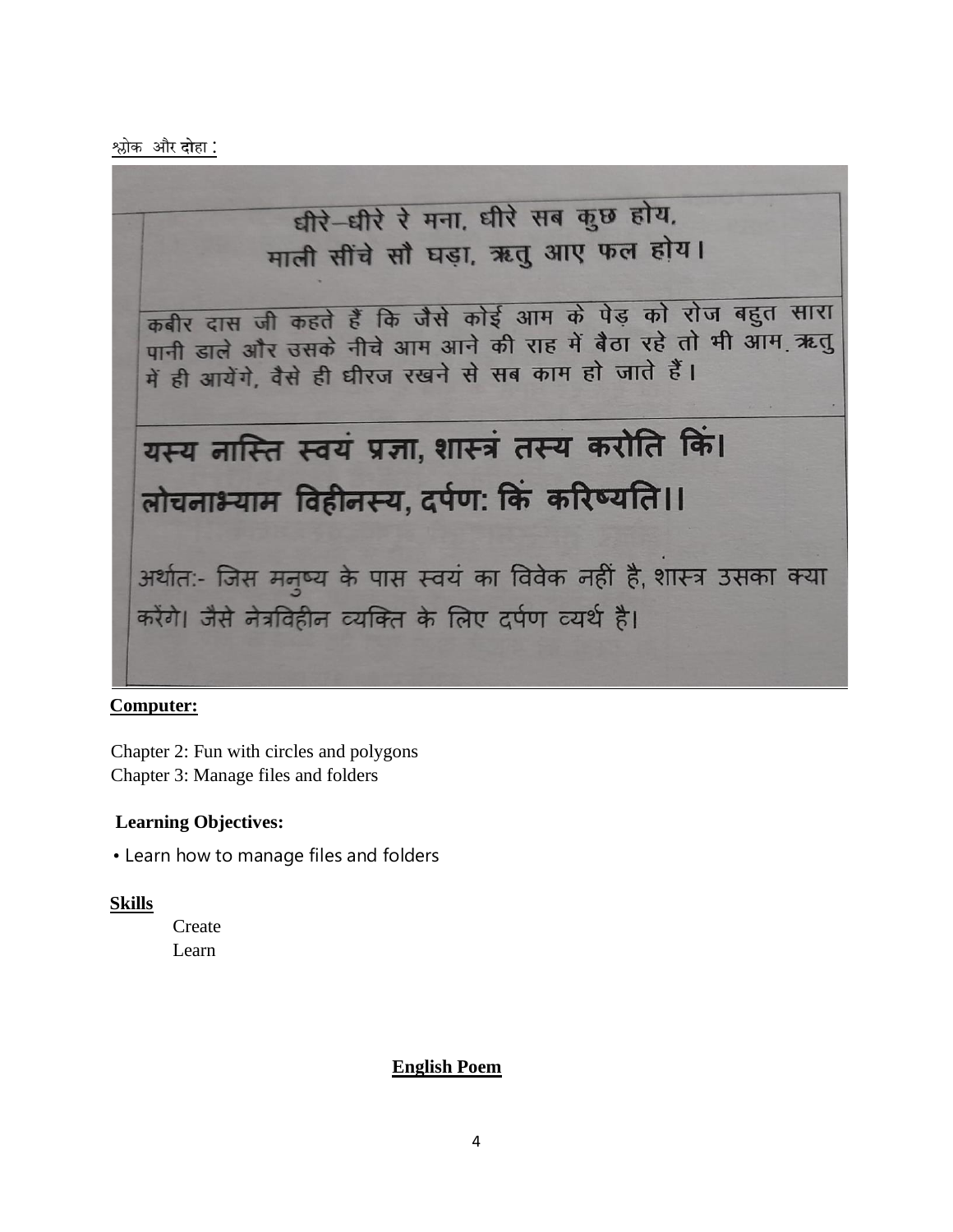श्लोक और **दो**हा :



#### **Computer:**

Chapter 2: Fun with circles and polygons Chapter 3: Manage files and folders

#### **Learning Objectives:**

• Learn how to manage files and folders

#### **Skills**

**Create** Learn

#### **English Poem**